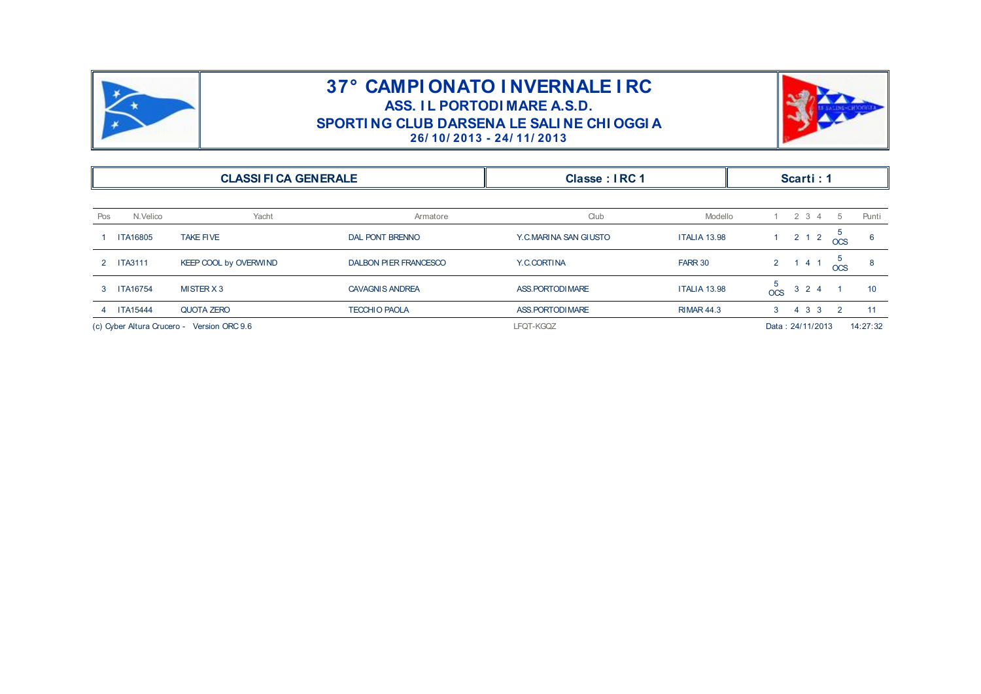

## **37° CAMPI ONATO I NVERNALE I RC<br>ASS. IL PORTODI MARE A.S.D.<br>PORTI NG CLUB DARSENA LE SALI NE CHI OGGI A AMPI ONATO I NVERNALE I<br>ASS. IL PORTODI MARE A.S.D.<br>G CLUB DARSENA LE SALI NE CHI O<br>26/10/2013 - 24/11/2013 SPORTI NG CLUB DARSENA LE SALI NE CHI OGGI A**<br> **26/ 10/ 2013 - 24/ 11/ 2013**<br> **26/ 10/ 2013 - 24/ 11/ 2013**



|                                 |                                            | SPORTING CLUB DARSENA LE SALINE CHI OGGI A | 26/10/2013 - 24/11/2013 |                     |                                                               |  |  |  |
|---------------------------------|--------------------------------------------|--------------------------------------------|-------------------------|---------------------|---------------------------------------------------------------|--|--|--|
| <b>CLASSI FI CA GENERALE</b>    |                                            | Classe: IRC 1                              |                         | Scarti: 1           |                                                               |  |  |  |
| N.Velico<br>Pos                 | Yacht                                      | Armatore                                   | Club                    | Modello             | $2 \t3 \t4$<br>5<br>Punti                                     |  |  |  |
| TA16805                         | <b>TAKE FIVE</b>                           | <b>DAL PONT BRENNO</b>                     | Y.C.MARINA SAN GIUSTO   | <b>ITALIA 13.98</b> | 5<br>$2 \quad 1 \quad 2$<br>1 <sup>1</sup><br>6<br><b>OCS</b> |  |  |  |
| <b>ITA3111</b><br>$\mathcal{P}$ | KEEP COOL by OVERWIND                      | <b>DALBON PIER FRANCESCO</b>               | Y.C.CORTINA             | FARR 30             | 5<br>$2^{\circ}$<br>141<br>8<br><b>OCS</b>                    |  |  |  |
| <b>ITA16754</b><br>3            | MISTER X 3                                 | <b>CAVAGNIS ANDREA</b>                     | ASS. PORTODI MARE       | <b>ITALIA 13.98</b> | 5<br>$3 \quad 2 \quad 4$<br>10<br><b>OCS</b>                  |  |  |  |
| <b>ITA15444</b>                 | QUOTA ZERO                                 | <b>TECCHIO PAOLA</b>                       | ASS. PORTODI MARE       | <b>RIMAR 44.3</b>   | $4 \quad 3 \quad 3$<br>$\overline{2}$<br>11<br>3              |  |  |  |
|                                 | (c) Cyber Altura Crucero - Version ORC 9.6 |                                            | LFQT-KGQZ               |                     | 14:27:32<br>Data: 24/11/2013                                  |  |  |  |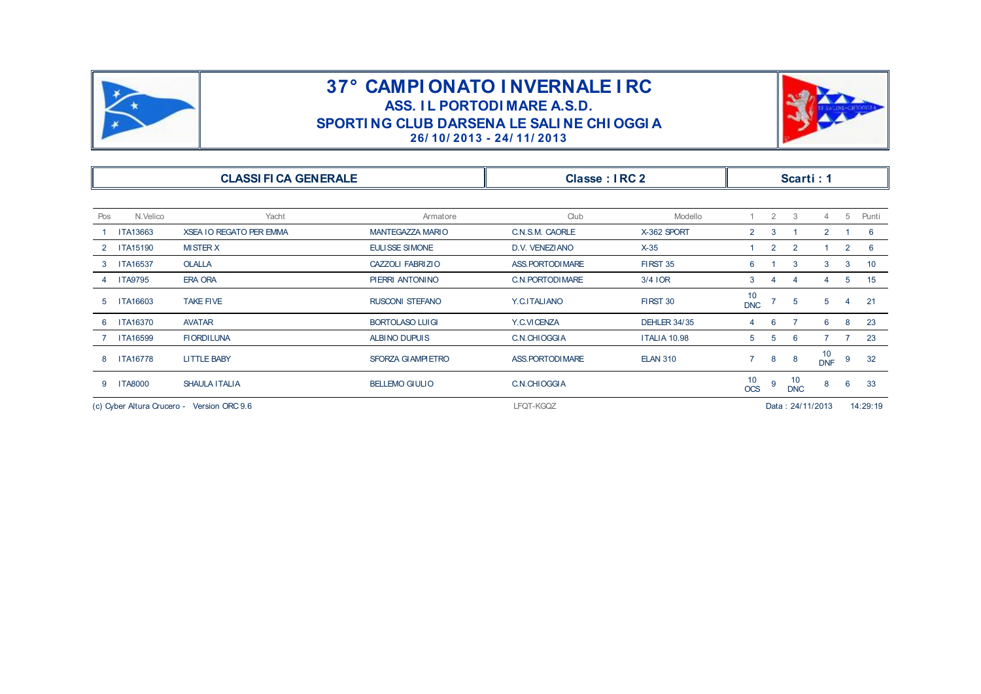

## **37° CAMPI ONATO I NVERNALE I RC<br>ASS. IL PORTODI MARE A.S.D.<br>PORTI NG CLUB DARSENA LE SALI NE CHI OGGI A AMPI ONATO I NVERNALE I<br>ASS. IL PORTODI MARE A.S.D.<br>G CLUB DARSENA LE SALI NE CHI O<br>26/10/2013 - 24/11/2013 SPORTI NG CLUB DARSENA LE SALI NE CHI OGGI A**<br> **26/ 10/ 2013 - 24/ 11/ 2013**<br> **26/ 10/ 2013 - 24/ 11/ 2013**



|                                            | SPORTING CLUB DARSENA LE SALINE CHI OGGI A<br>26/10/2013 - 24/11/2013 |                          |                   |                     |                  |                  |                  |                  |                |       |  |  |  |
|--------------------------------------------|-----------------------------------------------------------------------|--------------------------|-------------------|---------------------|------------------|------------------|------------------|------------------|----------------|-------|--|--|--|
| <b>CLASSI FI CA GENERALE</b>               |                                                                       |                          | Classe: IRC 2     |                     | Scarti: 1        |                  |                  |                  |                |       |  |  |  |
| Pos<br>N.Velico                            | Yacht                                                                 | Armatore                 | Club              | Modello             |                  | $\overline{2}$   | 3                | 4                | 5              | Punti |  |  |  |
| ITA13663                                   | <b>XSEA IO REGATO PER EMMA</b>                                        | <b>MANTEGAZZA MARIO</b>  | C.N.S.M. CAORLE   | X-362 SPORT         | 2                | 3                |                  | $\overline{2}$   |                | 6     |  |  |  |
| <b>ITA15190</b><br>$\mathbf{2}$            | <b>MISTER X</b>                                                       | <b>EULISSE SIMONE</b>    | D.V. VENEZIANO    | $X-35$              |                  | $\overline{2}$   | 2                |                  | $\overline{2}$ | 6     |  |  |  |
| <b>ITA16537</b><br>3                       | <b>OLALLA</b>                                                         | CAZZOLI FABRIZIO         | ASS. PORTODI MARE | <b>FIRST 35</b>     | 6                |                  | 3                | 3                | 3              | 10    |  |  |  |
| <b>ITA9795</b><br>4                        | <b>ERA ORA</b>                                                        | PIERRI ANTONINO          | C.N. PORTODI MARE | $3/4$ IOR           | 3                | 4                | $\overline{4}$   | 4                | 5              | 15    |  |  |  |
| ITA16603<br>5                              | <b>TAKE FIVE</b>                                                      | <b>RUSCONI STEFANO</b>   | Y.C.ITALIANO      | FIRST 30            | 10<br><b>DNC</b> |                  | 5                | 5                | $\overline{4}$ | 21    |  |  |  |
| <b>ITA16370</b><br>6                       | <b>AVATAR</b>                                                         | <b>BORTOLASO LUIGI</b>   | Y.C.VICENZA       | <b>DEHLER 34/35</b> | 4                | 6                |                  | 6                | 8              | 23    |  |  |  |
| <b>ITA16599</b>                            | <b>FIORDILUNA</b>                                                     | <b>ALBINO DUPUIS</b>     | C.N.CHIOGGIA      | <b>ITALIA 10.98</b> | 5                | 5                | 6                | $\overline{7}$   | -7             | 23    |  |  |  |
| <b>ITA16778</b><br>8                       | <b>LITTLE BABY</b>                                                    | <b>SFORZA GIAMPIETRO</b> | ASS. PORTODI MARE | <b>ELAN 310</b>     | $\overline{7}$   | 8                | 8                | 10<br><b>DNF</b> | 9              | 32    |  |  |  |
| <b>ITA8000</b><br>9                        | <b>SHAULA ITALIA</b>                                                  | <b>BELLEMO GIULIO</b>    | C.N.CHIOGGIA      |                     | 10<br><b>OCS</b> | 9                | 10<br><b>DNC</b> | 8                | 6              | 33    |  |  |  |
| (c) Cyber Altura Crucero - Version ORC 9.6 |                                                                       | LFQT-KGQZ                |                   |                     |                  | Data: 24/11/2013 |                  |                  | 14:29:19       |       |  |  |  |